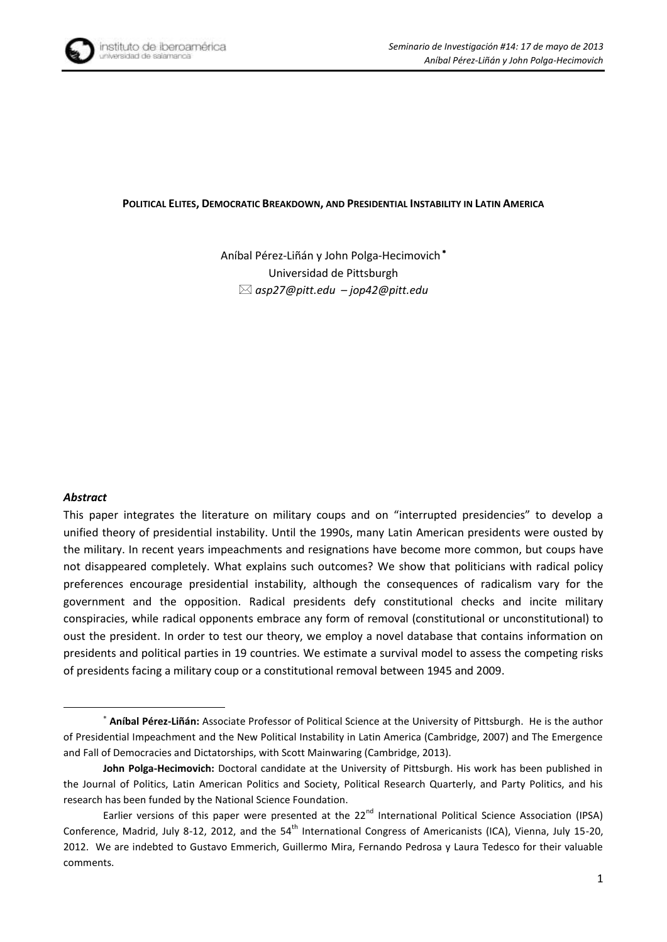

#### **POLITICAL ELITES, DEMOCRATIC BREAKDOWN, AND PRESIDENTIAL INSTABILITY IN LATIN AMERICA**

Aníbal Pérez-Liñán y John Polga-Hecimovich Universidad de Pittsburgh *asp27@pitt.edu – jop42@pitt.edu*

#### *Abstract*

**.** 

This paper integrates the literature on military coups and on "interrupted presidencies" to develop a unified theory of presidential instability. Until the 1990s, many Latin American presidents were ousted by the military. In recent years impeachments and resignations have become more common, but coups have not disappeared completely. What explains such outcomes? We show that politicians with radical policy preferences encourage presidential instability, although the consequences of radicalism vary for the government and the opposition. Radical presidents defy constitutional checks and incite military conspiracies, while radical opponents embrace any form of removal (constitutional or unconstitutional) to oust the president. In order to test our theory, we employ a novel database that contains information on presidents and political parties in 19 countries. We estimate a survival model to assess the competing risks of presidents facing a military coup or a constitutional removal between 1945 and 2009.

**Aníbal Pérez-Liñán:** Associate Professor of Political Science at the University of Pittsburgh. He is the author of Presidential Impeachment and the New Political Instability in Latin America (Cambridge, 2007) and The Emergence and Fall of Democracies and Dictatorships, with Scott Mainwaring (Cambridge, 2013).

**John Polga-Hecimovich:** Doctoral candidate at the University of Pittsburgh. His work has been published in the Journal of Politics, Latin American Politics and Society, Political Research Quarterly, and Party Politics, and his research has been funded by the National Science Foundation.

Earlier versions of this paper were presented at the 22<sup>nd</sup> International Political Science Association (IPSA) Conference, Madrid, July 8-12, 2012, and the 54<sup>th</sup> International Congress of Americanists (ICA), Vienna, July 15-20, 2012. We are indebted to Gustavo Emmerich, Guillermo Mira, Fernando Pedrosa y Laura Tedesco for their valuable comments.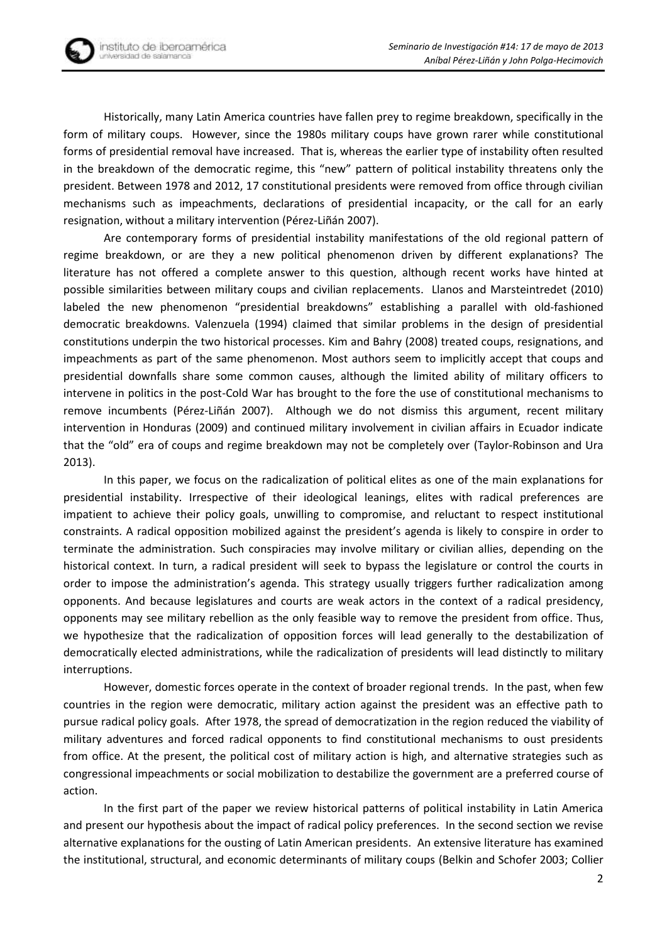Historically, many Latin America countries have fallen prey to regime breakdown, specifically in the form of military coups. However, since the 1980s military coups have grown rarer while constitutional forms of presidential removal have increased. That is, whereas the earlier type of instability often resulted in the breakdown of the democratic regime, this "new" pattern of political instability threatens only the president. Between 1978 and 2012, 17 constitutional presidents were removed from office through civilian mechanisms such as impeachments, declarations of presidential incapacity, or the call for an early resignation, without a military intervention (Pérez-[Liñán 2007](#page-17-0)).

Are contemporary forms of presidential instability manifestations of the old regional pattern of regime breakdown, or are they a new political phenomenon driven by different explanations? The literature has not offered a complete answer to this question, although recent works have hinted at possible similarities between military coups and civilian replacements. Llanos and Marsteintredet (2010) labeled the new phenomenon "presidential breakdowns" establishing a parallel with old-fashioned democratic breakdowns. Valenzuela (1994) claimed that similar problems in the design of presidential constitutions underpin the two historical processes. Kim and Bahry [\(2008\)](#page-16-0) treated coups, resignations, and impeachments as part of the same phenomenon. Most authors seem to implicitly accept that coups and presidential downfalls share some common causes, although the limited ability of military officers to intervene in politics in the post-Cold War has brought to the fore the use of constitutional mechanisms to remove incumbents (Pérez-Liñán 2007). Although we do not dismiss this argument, recent military intervention in Honduras (2009) and continued military involvement in civilian affairs in Ecuador indicate that the "old" era of coups and regime breakdown may not be completely over [\(Taylor-Robinson and Ura](#page-17-1) [2013\)](#page-17-1).

In this paper, we focus on the radicalization of political elites as one of the main explanations for presidential instability. Irrespective of their ideological leanings, elites with radical preferences are impatient to achieve their policy goals, unwilling to compromise, and reluctant to respect institutional constraints. A radical opposition mobilized against the president's agenda is likely to conspire in order to terminate the administration. Such conspiracies may involve military or civilian allies, depending on the historical context. In turn, a radical president will seek to bypass the legislature or control the courts in order to impose the administration's agenda. This strategy usually triggers further radicalization among opponents. And because legislatures and courts are weak actors in the context of a radical presidency, opponents may see military rebellion as the only feasible way to remove the president from office. Thus, we hypothesize that the radicalization of opposition forces will lead generally to the destabilization of democratically elected administrations, while the radicalization of presidents will lead distinctly to military interruptions.

However, domestic forces operate in the context of broader regional trends. In the past, when few countries in the region were democratic, military action against the president was an effective path to pursue radical policy goals. After 1978, the spread of democratization in the region reduced the viability of military adventures and forced radical opponents to find constitutional mechanisms to oust presidents from office. At the present, the political cost of military action is high, and alternative strategies such as congressional impeachments or social mobilization to destabilize the government are a preferred course of action.

In the first part of the paper we review historical patterns of political instability in Latin America and present our hypothesis about the impact of radical policy preferences. In the second section we revise alternative explanations for the ousting of Latin American presidents. An extensive literature has examined the institutional, structural, and economic determinants of military coups [\(Belkin and Schofer 2003;](#page-15-0) [Collier](#page-15-1)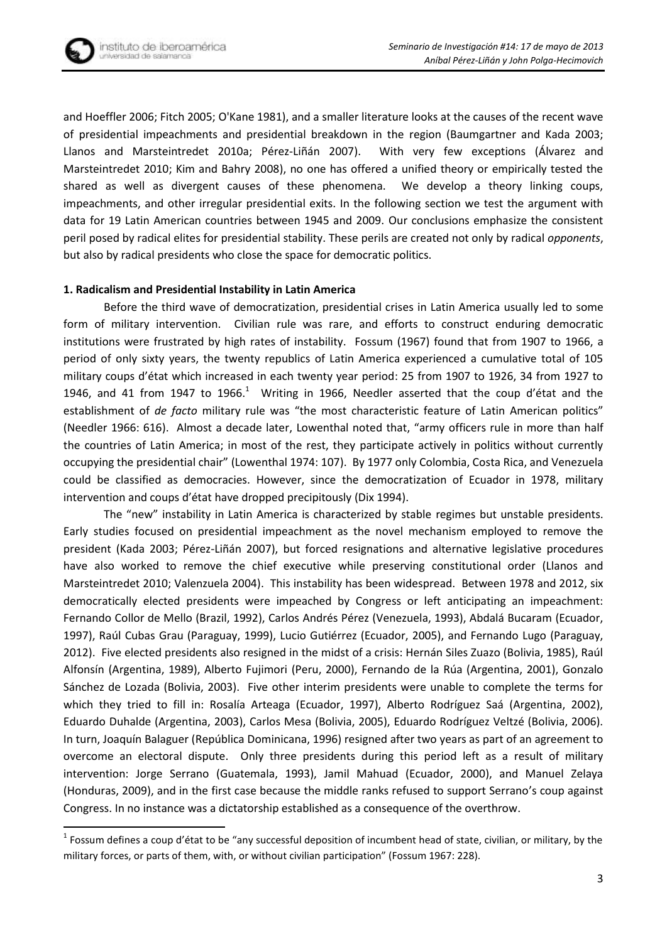

**.** 

[and Hoeffler 2006;](#page-15-1) [Fitch 2005;](#page-15-2) [O'Kane 1981\)](#page-17-2), and a smaller literature looks at the causes of the recent wave of presidential impeachments and presidential breakdown in the region [\(Baumgartner and Kada 2003;](#page-15-3) [Llanos and Marsteintredet 2010a;](#page-16-1) Pérez-[Liñán 2007](#page-17-0)). With very few exceptions ([Álvarez and](#page-15-4)  [Marsteintredet 2010;](#page-15-4) [Kim and Bahry 2008\)](#page-16-0), no one has offered a unified theory or empirically tested the shared as well as divergent causes of these phenomena. We develop a theory linking coups, impeachments, and other irregular presidential exits. In the following section we test the argument with data for 19 Latin American countries between 1945 and 2009. Our conclusions emphasize the consistent peril posed by radical elites for presidential stability. These perils are created not only by radical *opponents*, but also by radical presidents who close the space for democratic politics.

## **1. Radicalism and Presidential Instability in Latin America**

Before the third wave of democratization, presidential crises in Latin America usually led to some form of military intervention. Civilian rule was rare, and efforts to construct enduring democratic institutions were frustrated by high rates of instability. Fossum [\(1967\)](#page-15-5) found that from 1907 to 1966, a period of only sixty years, the twenty republics of Latin America experienced a cumulative total of 105 military coups d'état which increased in each twenty year period: 25 from 1907 to 1926, 34 from 1927 to 1946, and 41 from 1947 to 1966.<sup>1</sup> Writing in 1966, Needler asserted that the coup d'état and the establishment of *de facto* military rule was "the most characteristic feature of Latin American politics" [\(Needler 1966: 616\)](#page-16-2). Almost a decade later, Lowenthal noted that, "army officers rule in more than half the countries of Latin America; in most of the rest, they participate actively in politics without currently occupying the presidential chair" [\(Lowenthal 1974: 107\)](#page-16-3). By 1977 only Colombia, Costa Rica, and Venezuela could be classified as democracies. However, since the democratization of Ecuador in 1978, military intervention and coups d'état have dropped precipitously [\(Dix 1994\)](#page-15-6).

The "new" instability in Latin America is characterized by stable regimes but unstable presidents. Early studies focused on presidential impeachment as the novel mechanism employed to remove the president ([Kada 2003; Pérez](#page-16-4)-Liñán 2007), but forced resignations and alternative legislative procedures have also worked to remove the chief executive while preserving constitutional order (Llanos and Marsteintredet 2010; Valenzuela 2004). This instability has been widespread. Between 1978 and 2012, six democratically elected presidents were impeached by Congress or left anticipating an impeachment: Fernando Collor de Mello (Brazil, 1992), Carlos Andrés Pérez (Venezuela, 1993), Abdalá Bucaram (Ecuador, 1997), Raúl Cubas Grau (Paraguay, 1999), Lucio Gutiérrez (Ecuador, 2005), and Fernando Lugo (Paraguay, 2012). Five elected presidents also resigned in the midst of a crisis: Hernán Siles Zuazo (Bolivia, 1985), Raúl Alfonsín (Argentina, 1989), Alberto Fujimori (Peru, 2000), Fernando de la Rúa (Argentina, 2001), Gonzalo Sánchez de Lozada (Bolivia, 2003). Five other interim presidents were unable to complete the terms for which they tried to fill in: Rosalía Arteaga (Ecuador, 1997), Alberto Rodríguez Saá (Argentina, 2002), Eduardo Duhalde (Argentina, 2003), Carlos Mesa (Bolivia, 2005), Eduardo Rodríguez Veltzé (Bolivia, 2006). In turn, Joaquín Balaguer (República Dominicana, 1996) resigned after two years as part of an agreement to overcome an electoral dispute. Only three presidents during this period left as a result of military intervention: Jorge Serrano (Guatemala, 1993), Jamil Mahuad (Ecuador, 2000), and Manuel Zelaya (Honduras, 2009), and in the first case because the middle ranks refused to support Serrano's coup against Congress. In no instance was a dictatorship established as a consequence of the overthrow.

 $^1$  Fossum defines a coup d'état to be "any successful deposition of incumbent head of state, civilian, or military, by the military forces, or parts of them, with, or without civilian participation" (Fossum 1967: 228).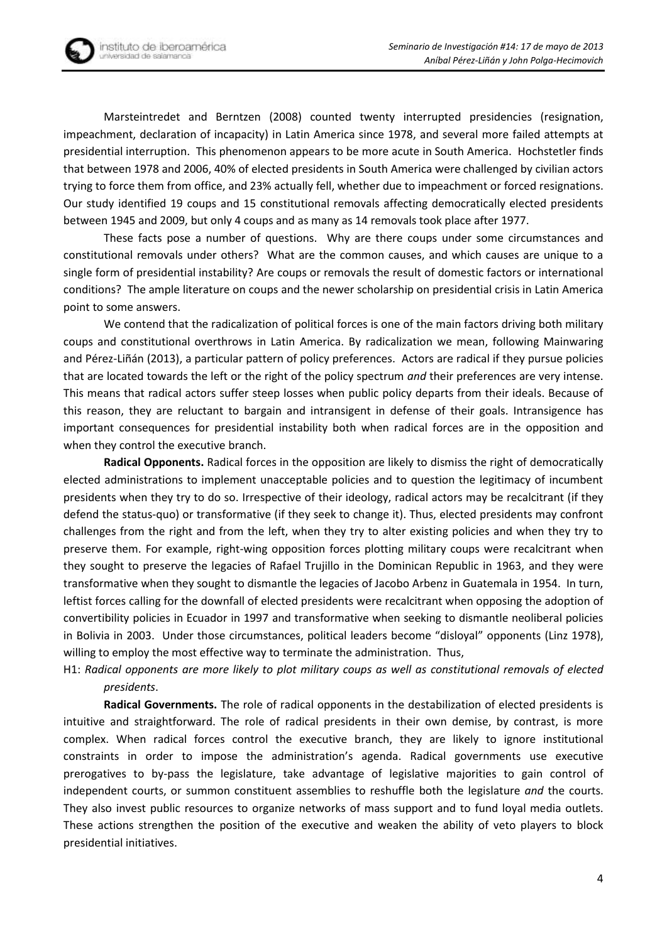Marsteintredet and Berntzen [\(2008\)](#page-16-5) counted twenty interrupted presidencies (resignation, impeachment, declaration of incapacity) in Latin America since 1978, and several more failed attempts at presidential interruption. This phenomenon appears to be more acute in South America. Hochstetler finds that between 1978 and 2006, 40% of elected presidents in South America were challenged by civilian actors trying to force them from office, and 23% actually fell, whether due to impeachment or forced resignations. Our study identified 19 coups and 15 constitutional removals affecting democratically elected presidents between 1945 and 2009, but only 4 coups and as many as 14 removals took place after 1977.

These facts pose a number of questions. Why are there coups under some circumstances and constitutional removals under others? What are the common causes, and which causes are unique to a single form of presidential instability? Are coups or removals the result of domestic factors or international conditions? The ample literature on coups and the newer scholarship on presidential crisis in Latin America point to some answers.

We contend that the radicalization of political forces is one of the main factors driving both military coups and constitutional overthrows in Latin America. By radicalization we mean, following [Mainwaring](#page-16-6)  and Pérez-[Liñán \(2013](#page-16-6)), a particular pattern of policy preferences. Actors are radical if they pursue policies that are located towards the left or the right of the policy spectrum *and* their preferences are very intense. This means that radical actors suffer steep losses when public policy departs from their ideals. Because of this reason, they are reluctant to bargain and intransigent in defense of their goals. Intransigence has important consequences for presidential instability both when radical forces are in the opposition and when they control the executive branch.

**Radical Opponents.** Radical forces in the opposition are likely to dismiss the right of democratically elected administrations to implement unacceptable policies and to question the legitimacy of incumbent presidents when they try to do so. Irrespective of their ideology, radical actors may be recalcitrant (if they defend the status-quo) or transformative (if they seek to change it). Thus, elected presidents may confront challenges from the right and from the left, when they try to alter existing policies and when they try to preserve them. For example, right-wing opposition forces plotting military coups were recalcitrant when they sought to preserve the legacies of Rafael Trujillo in the Dominican Republic in 1963, and they were transformative when they sought to dismantle the legacies of Jacobo Arbenz in Guatemala in 1954. In turn, leftist forces calling for the downfall of elected presidents were recalcitrant when opposing the adoption of convertibility policies in Ecuador in 1997 and transformative when seeking to dismantle neoliberal policies in Bolivia in 2003. Under those circumstances, political leaders become "disloyal" opponents [\(Linz 1978\)](#page-16-7), willing to employ the most effective way to terminate the administration. Thus,

H1: *Radical opponents are more likely to plot military coups as well as constitutional removals of elected presidents*.

**Radical Governments.** The role of radical opponents in the destabilization of elected presidents is intuitive and straightforward. The role of radical presidents in their own demise, by contrast, is more complex. When radical forces control the executive branch, they are likely to ignore institutional constraints in order to impose the administration's agenda. Radical governments use executive prerogatives to by-pass the legislature, take advantage of legislative majorities to gain control of independent courts, or summon constituent assemblies to reshuffle both the legislature *and* the courts. They also invest public resources to organize networks of mass support and to fund loyal media outlets. These actions strengthen the position of the executive and weaken the ability of veto players to block presidential initiatives.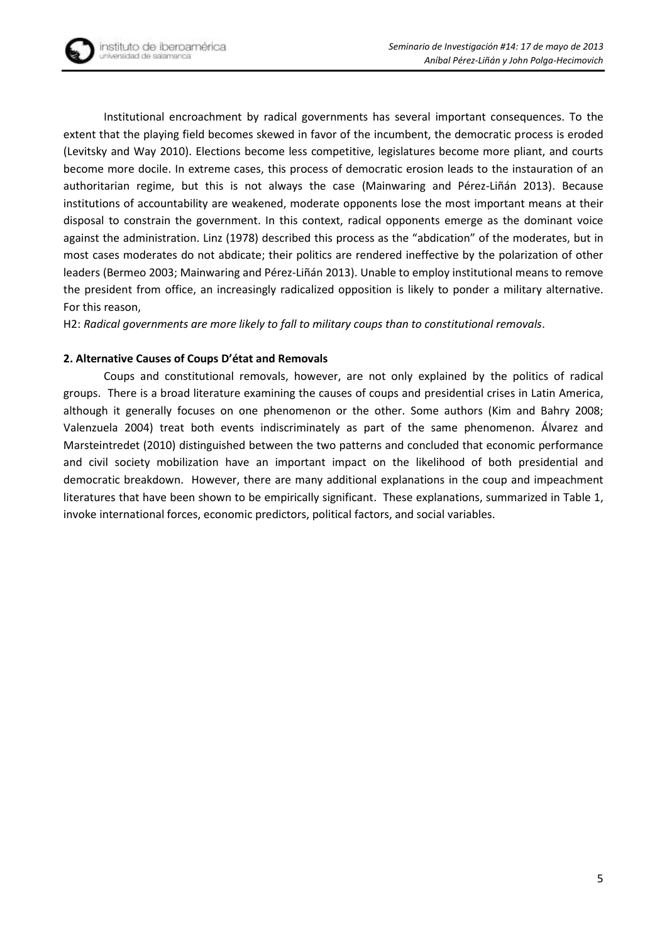Institutional encroachment by radical governments has several important consequences. To the extent that the playing field becomes skewed in favor of the incumbent, the democratic process is eroded [\(Levitsky and Way 2010\)](#page-16-8). Elections become less competitive, legislatures become more pliant, and courts become more docile. In extreme cases, this process of democratic erosion leads to the instauration of an authoritarian regime, but this is not always the case (Mainwaring and Pérez-Liñán 2013). Because institutions of accountability are weakened, moderate opponents lose the most important means at their disposal to constrain the government. In this context, radical opponents emerge as the dominant voice against the administration. Linz (1978) described this process as the "abdication" of the moderates, but in most cases moderates do not abdicate; their politics are rendered ineffective by the polarization of other leaders [\(Bermeo 2003;](#page-15-7) [Mainwaring and Pérez](#page-16-6)-Liñán 2013). Unable to employ institutional means to remove the president from office, an increasingly radicalized opposition is likely to ponder a military alternative. For this reason,

H2: *Radical governments are more likely to fall to military coups than to constitutional removals*.

# **2. Alternative Causes of Coups D'état and Removals**

Coups and constitutional removals, however, are not only explained by the politics of radical groups. There is a broad literature examining the causes of coups and presidential crises in Latin America, although it generally focuses on one phenomenon or the other. Some authors (Kim and Bahry 2008; Valenzuela 2004) treat both events indiscriminately as part of the same phenomenon. Álvarez and Marsteintredet [\(2010\)](#page-15-4) distinguished between the two patterns and concluded that economic performance and civil society mobilization have an important impact on the likelihood of both presidential and democratic breakdown. However, there are many additional explanations in the coup and impeachment literatures that have been shown to be empirically significant. These explanations, summarized in Table 1, invoke international forces, economic predictors, political factors, and social variables.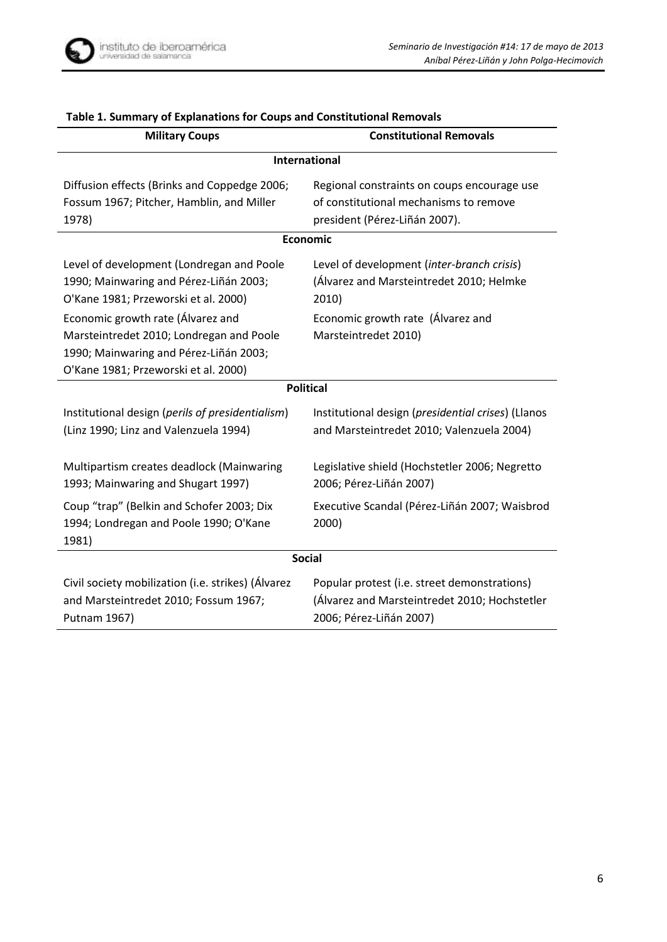

| <b>Military Coups</b>                                                                                                                                                                                                                                                                          | <b>Constitutional Removals</b>                                                                                                                               |  |  |  |  |  |
|------------------------------------------------------------------------------------------------------------------------------------------------------------------------------------------------------------------------------------------------------------------------------------------------|--------------------------------------------------------------------------------------------------------------------------------------------------------------|--|--|--|--|--|
| International                                                                                                                                                                                                                                                                                  |                                                                                                                                                              |  |  |  |  |  |
| Diffusion effects (Brinks and Coppedge 2006;<br>Fossum 1967; Pitcher, Hamblin, and Miller<br>1978)                                                                                                                                                                                             | Regional constraints on coups encourage use<br>of constitutional mechanisms to remove<br>president (Pérez-Liñán 2007).                                       |  |  |  |  |  |
| <b>Economic</b>                                                                                                                                                                                                                                                                                |                                                                                                                                                              |  |  |  |  |  |
| Level of development (Londregan and Poole<br>1990; Mainwaring and Pérez-Liñán 2003;<br>O'Kane 1981; Przeworski et al. 2000)<br>Economic growth rate (Álvarez and<br>Marsteintredet 2010; Londregan and Poole<br>1990; Mainwaring and Pérez-Liñán 2003;<br>O'Kane 1981; Przeworski et al. 2000) | Level of development (inter-branch crisis)<br>(Álvarez and Marsteintredet 2010; Helmke<br>2010)<br>Economic growth rate (Álvarez and<br>Marsteintredet 2010) |  |  |  |  |  |
| <b>Political</b>                                                                                                                                                                                                                                                                               |                                                                                                                                                              |  |  |  |  |  |
| Institutional design (perils of presidentialism)<br>(Linz 1990; Linz and Valenzuela 1994)                                                                                                                                                                                                      | Institutional design (presidential crises) (Llanos<br>and Marsteintredet 2010; Valenzuela 2004)                                                              |  |  |  |  |  |
| Multipartism creates deadlock (Mainwaring<br>1993; Mainwaring and Shugart 1997)                                                                                                                                                                                                                | Legislative shield (Hochstetler 2006; Negretto<br>2006; Pérez-Liñán 2007)                                                                                    |  |  |  |  |  |
| Coup "trap" (Belkin and Schofer 2003; Dix<br>1994; Londregan and Poole 1990; O'Kane<br>1981)                                                                                                                                                                                                   | Executive Scandal (Pérez-Liñán 2007; Waisbrod<br>2000)                                                                                                       |  |  |  |  |  |
| <b>Social</b>                                                                                                                                                                                                                                                                                  |                                                                                                                                                              |  |  |  |  |  |
| Civil society mobilization (i.e. strikes) (Álvarez<br>and Marsteintredet 2010; Fossum 1967;<br>Putnam 1967)                                                                                                                                                                                    | Popular protest (i.e. street demonstrations)<br>(Álvarez and Marsteintredet 2010; Hochstetler<br>2006; Pérez-Liñán 2007)                                     |  |  |  |  |  |

# **Table 1. Summary of Explanations for Coups and Constitutional Removals**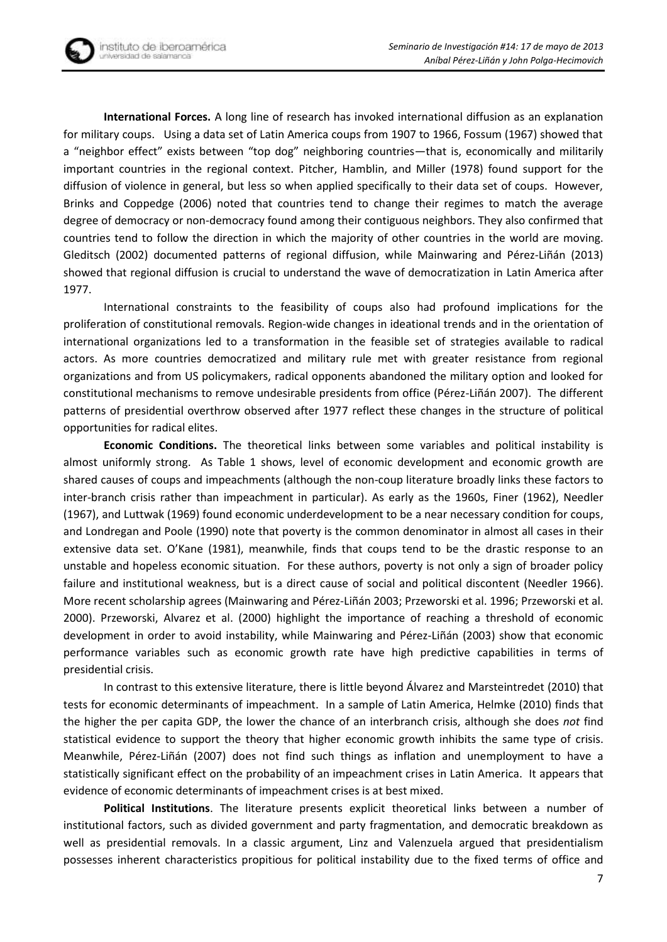**International Forces.** A long line of research has invoked international diffusion as an explanation for military coups. Using a data set of Latin America coups from 1907 to 1966, Fossum (1967) showed that a "neighbor effect" exists between "top dog" neighboring countries—that is, economically and militarily important countries in the regional context. Pitcher, Hamblin, and Miller (1978) found support for the diffusion of violence in general, but less so when applied specifically to their data set of coups. However, Brinks and Coppedge (2006) noted that countries tend to change their regimes to match the average degree of democracy or non-democracy found among their contiguous neighbors. They also confirmed that countries tend to follow the direction in which the majority of other countries in the world are moving. [Gleditsch \(2002\)](#page-15-10) documented patterns of regional diffusion, while Mainwaring and Pérez-Liñán (2013) showed that regional diffusion is crucial to understand the wave of democratization in Latin America after 1977.

International constraints to the feasibility of coups also had profound implications for the proliferation of constitutional removals. Region-wide changes in ideational trends and in the orientation of international organizations led to a transformation in the feasible set of strategies available to radical actors. As more countries democratized and military rule met with greater resistance from regional organizations and from US policymakers, radical opponents abandoned the military option and looked for constitutional mechanisms to remove undesirable presidents from office (Pérez-Liñán 2007). The different patterns of presidential overthrow observed after 1977 reflect these changes in the structure of political opportunities for radical elites.

**Economic Conditions.** The theoretical links between some variables and political instability is almost uniformly strong. As Table 1 shows, level of economic development and economic growth are shared causes of coups and impeachments (although the non-coup literature broadly links these factors to inter-branch crisis rather than impeachment in particular). As early as the 1960s, Finer [\(1962\)](#page-15-11), Needler [\(1967\)](#page-17-8), and Luttwak [\(1969\)](#page-16-15) found economic underdevelopment to be a near necessary condition for coups, and Londregan and Poole [\(1990\)](#page-16-9) note that poverty is the common denominator in almost all cases in their extensive data set. O'Kane [\(1981\)](#page-17-2), meanwhile, finds that coups tend to be the drastic response to an unstable and hopeless economic situation. For these authors, poverty is not only a sign of broader policy failure and institutional weakness, but is a direct cause of social and political discontent [\(Needler 1966\)](#page-16-2). More recent scholarship agrees (Mainwari[ng and Pérez](#page-16-10)-Liñán 2003[; Przeworski et al. 1996;](#page-17-9) [Przeworski et al.](#page-17-4)  [2000\)](#page-17-4). Przeworski, Alvarez et al. [\(2000\)](#page-17-4) highlight the importance of reaching a threshold of economic development in order to avoid instability, while Mainwaring and Pérez-Liñán [\(2003\)](#page-16-10) show that economic performance variables such as economic growth rate have high predictive capabilities in terms of presidential crisis.

In contrast to this extensive literature, there is little beyond Álvarez and Marsteintredet [\(2010\)](#page-15-4) that tests for economic determinants of impeachment. In a sample of Latin America, Helmke [\(2010\)](#page-15-9) finds that the higher the per capita GDP, the lower the chance of an interbranch crisis, although she does *not* find statistical evidence to support the theory that higher economic growth inhibits the same type of crisis. Meanwhile, Pérez-Liñán [\(2007\)](#page-17-0) does not find such things as inflation and unemployment to have a statistically significant effect on the probability of an impeachment crises in Latin America. It appears that evidence of economic determinants of impeachment crises is at best mixed.

**Political Institutions**. The literature presents explicit theoretical links between a number of institutional factors, such as divided government and party fragmentation, and democratic breakdown as well as presidential removals. In a classic argument, Linz and Valenzuela argued that presidentialism possesses inherent characteristics propitious for political instability due to the fixed terms of office and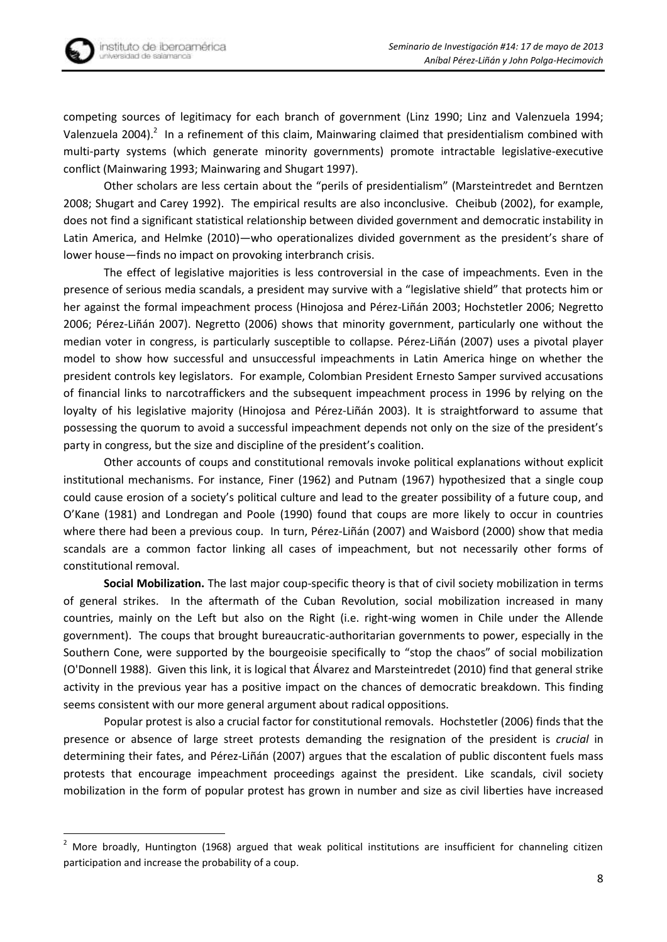

**.** 

competing sources of legitimacy for each branch of government [\(Linz 1990;](#page-16-11) [Linz and Valenzuela 1994;](#page-16-12) [Valenzuela 2004\)](#page-17-10).<sup>2</sup> In a refinement of this claim, Mainwaring claimed that presidentialism combined with multi-party systems (which generate minority governments) promote intractable legislative-executive conflict [\(Mainwaring 1993;](#page-16-13) [Mainwaring and Shugart 1997\)](#page-16-16).

Other scholars are less certain about the "perils of presidentialism" [\(Marsteintredet and Berntzen](#page-16-5)  [2008;](#page-16-5) [Shugart and Carey 1992\)](#page-17-11). The empirical results are also inconclusive. Cheibub [\(2002\)](#page-15-12), for example, does not find a significant statistical relationship between divided government and democratic instability in Latin America, and Helmke [\(2010\)](#page-15-9)—who operationalizes divided government as the president's share of lower house—finds no impact on provoking interbranch crisis.

The effect of legislative majorities is less controversial in the case of impeachments. Even in the presence of serious media scandals, a president may survive with a "legislative shield" that protects him or her against the formal impeachment process ([Hinojosa and Pérez](#page-16-17)-Liñán 2003; [Hochstetler 2006;](#page-16-14) [Negretto](#page-17-5)  [2006;](#page-17-5) Pérez-[Liñán 2007](#page-17-0)). Negretto [\(2006\)](#page-17-5) shows that minority government, particularly one without the median voter in congress, is particularly susceptible to collapse. Pérez-Liñán [\(2007\)](#page-17-0) uses a pivotal player model to show how successful and unsuccessful impeachments in Latin America hinge on whether the president controls key legislators. For example, Colombian President Ernesto Samper survived accusations of financial links to narcotraffickers and the subsequent impeachment process in 1996 by relying on the loyalty of his legislative majority ([Hinojosa and Pérez](#page-16-17)-Liñán 2003). It is straightforward to assume that possessing the quorum to avoid a successful impeachment depends not only on the size of the president's party in congress, but the size and discipline of the president's coalition.

Other accounts of coups and constitutional removals invoke political explanations without explicit institutional mechanisms. For instance, Finer [\(1962\)](#page-15-11) and Putnam [\(1967\)](#page-17-7) hypothesized that a single coup could cause erosion of a society's political culture and lead to the greater possibility of a future coup, and O'Kane [\(1981\)](#page-17-2) and Londregan and Poole [\(1990\)](#page-16-9) found that coups are more likely to occur in countries where there had been a previous coup. In turn, Pérez-Liñán [\(2007\)](#page-17-0) and [Waisbord \(2000\)](#page-17-6) show that media scandals are a common factor linking all cases of impeachment, but not necessarily other forms of constitutional removal.

**Social Mobilization.** The last major coup-specific theory is that of civil society mobilization in terms of general strikes. In the aftermath of the Cuban Revolution, social mobilization increased in many countries, mainly on the Left but also on the Right (i.e. right-wing women in Chile under the Allende government). The coups that brought bureaucratic-authoritarian governments to power, especially in the Southern Cone, were supported by the bourgeoisie specifically to "stop the chaos" of social mobilization [\(O'Donnell 1988\)](#page-17-12). Given this link, it is logical that Álvarez and Marsteintredet [\(2010\)](#page-15-4) find that general strike activity in the previous year has a positive impact on the chances of democratic breakdown. This finding seems consistent with our more general argument about radical oppositions.

Popular protest is also a crucial factor for constitutional removals. Hochstetler [\(2006\)](#page-16-14) finds that the presence or absence of large street protests demanding the resignation of the president is *crucial* in determining their fates, and Pérez-Liñán (2007) argues that the escalation of public discontent fuels mass protests that encourage impeachment proceedings against the president. Like scandals, civil society mobilization in the form of popular protest has grown in number and size as civil liberties have increased

 $2$  More broadly, Huntington [\(1968\)](#page-16-18) argued that weak political institutions are insufficient for channeling citizen participation and increase the probability of a coup.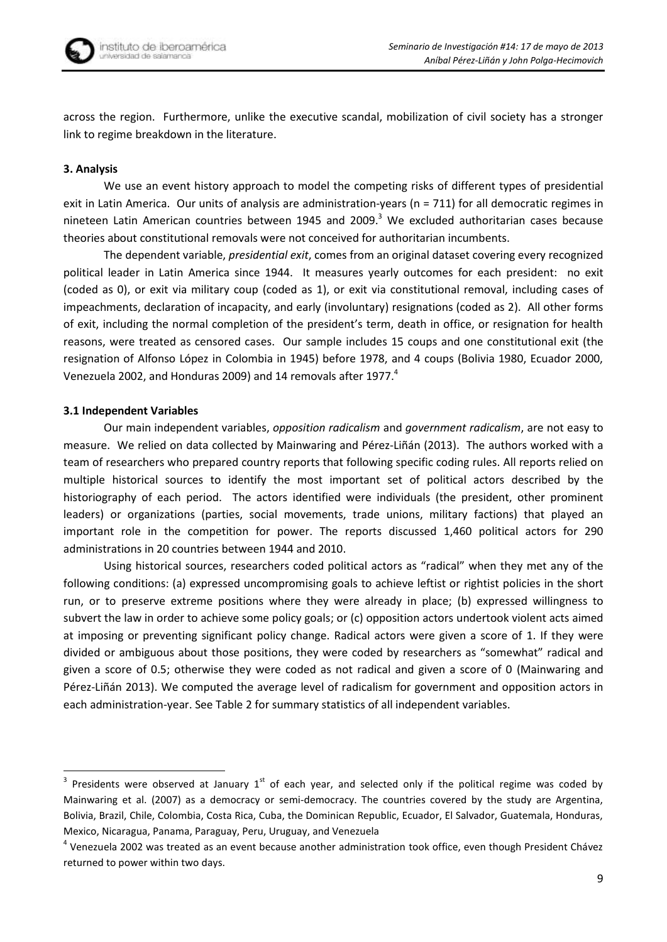

across the region. Furthermore, unlike the executive scandal, mobilization of civil society has a stronger link to regime breakdown in the literature.

## **3. Analysis**

We use an event history approach to model the competing risks of different types of presidential exit in Latin America. Our units of analysis are administration-years (n = 711) for all democratic regimes in nineteen Latin American countries between 1945 and 2009.<sup>3</sup> We excluded authoritarian cases because theories about constitutional removals were not conceived for authoritarian incumbents.

The dependent variable, *presidential exit*, comes from an original dataset covering every recognized political leader in Latin America since 1944. It measures yearly outcomes for each president: no exit (coded as 0), or exit via military coup (coded as 1), or exit via constitutional removal, including cases of impeachments, declaration of incapacity, and early (involuntary) resignations (coded as 2). All other forms of exit, including the normal completion of the president's term, death in office, or resignation for health reasons, were treated as censored cases. Our sample includes 15 coups and one constitutional exit (the resignation of Alfonso López in Colombia in 1945) before 1978, and 4 coups (Bolivia 1980, Ecuador 2000, Venezuela 2002, and Honduras 2009) and 14 removals after 1977.<sup>4</sup>

### **3.1 Independent Variables**

Our main independent variables, *opposition radicalism* and *government radicalism*, are not easy to measure. We relied on data collected by Mainwaring and Pérez-Liñán (2013). The authors worked with a team of researchers who prepared country reports that following specific coding rules. All reports relied on multiple historical sources to identify the most important set of political actors described by the historiography of each period. The actors identified were individuals (the president, other prominent leaders) or organizations (parties, social movements, trade unions, military factions) that played an important role in the competition for power. The reports discussed 1,460 political actors for 290 administrations in 20 countries between 1944 and 2010.

Using historical sources, researchers coded political actors as "radical" when they met any of the following conditions: (a) expressed uncompromising goals to achieve leftist or rightist policies in the short run, or to preserve extreme positions where they were already in place; (b) expressed willingness to subvert the law in order to achieve some policy goals; or (c) opposition actors undertook violent acts aimed at imposing or preventing significant policy change. Radical actors were given a score of 1. If they were divided or ambiguous about those positions, they were coded by researchers as "somewhat" radical and given a score of 0.5; otherwise they were coded as not radical and given a score of 0 [\(Mainwaring and](#page-16-6)  Pérez-[Liñán 2013](#page-16-6)). We computed the average level of radicalism for government and opposition actors in each administration-year. See Table 2 for summary statistics of all independent variables.

**THE 1888**<br><sup>3</sup> Presidents were observed at January 1<sup>st</sup> of each year, and selected only if the political regime was coded by Mainwaring et al. (2007) as a democracy or semi-democracy. The countries covered by the study are Argentina, Bolivia, Brazil, Chile, Colombia, Costa Rica, Cuba, the Dominican Republic, Ecuador, El Salvador, Guatemala, Honduras, Mexico, Nicaragua, Panama, Paraguay, Peru, Uruguay, and Venezuela

<sup>&</sup>lt;sup>4</sup> Venezuela 2002 was treated as an event because another administration took office, even though President Chávez returned to power within two days.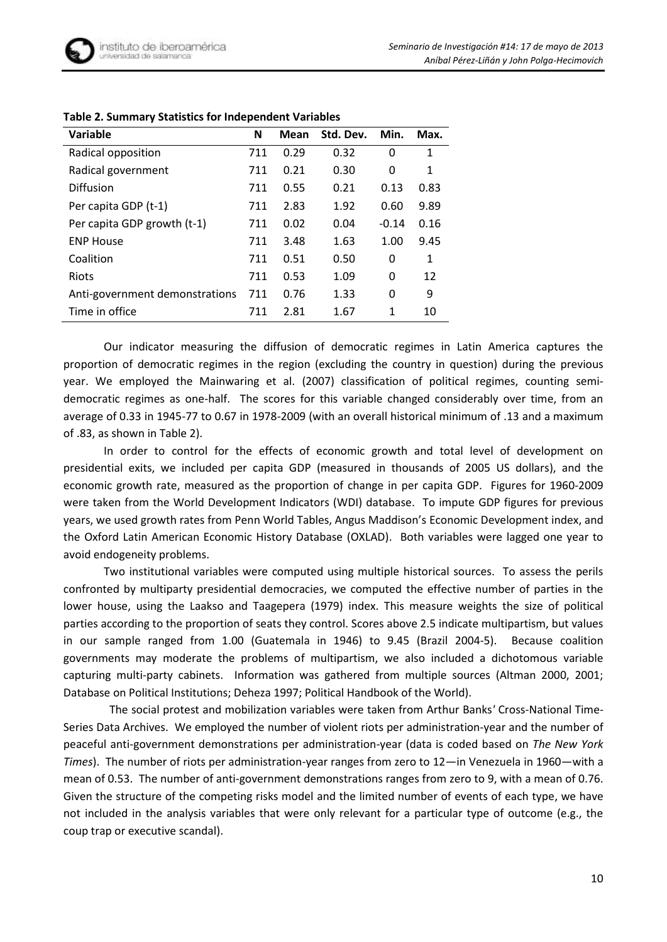| Variable                       | N   | Mean | Std. Dev. | Min.    | Max. |
|--------------------------------|-----|------|-----------|---------|------|
| Radical opposition             | 711 | 0.29 | 0.32      | 0       | 1    |
| Radical government             | 711 | 0.21 | 0.30      | 0       | 1    |
| Diffusion                      | 711 | 0.55 | 0.21      | 0.13    | 0.83 |
| Per capita GDP (t-1)           | 711 | 2.83 | 1.92      | 0.60    | 9.89 |
| Per capita GDP growth (t-1)    | 711 | 0.02 | 0.04      | $-0.14$ | 0.16 |
| <b>ENP House</b>               | 711 | 3.48 | 1.63      | 1.00    | 9.45 |
| Coalition                      | 711 | 0.51 | 0.50      | 0       | 1    |
| Riots                          | 711 | 0.53 | 1.09      | 0       | 12   |
| Anti-government demonstrations | 711 | 0.76 | 1.33      | 0       | 9    |
| Time in office                 | 711 | 2.81 | 1.67      | 1       | 10   |

### **Table 2. Summary Statistics for Independent Variables**

Our indicator measuring the diffusion of democratic regimes in Latin America captures the proportion of democratic regimes in the region (excluding the country in question) during the previous year. We employed the Mainwaring et al. [\(2007\)](#page-16-19) classification of political regimes, counting semidemocratic regimes as one-half. The scores for this variable changed considerably over time, from an average of 0.33 in 1945-77 to 0.67 in 1978-2009 (with an overall historical minimum of .13 and a maximum of .83, as shown in Table 2).

In order to control for the effects of economic growth and total level of development on presidential exits, we included per capita GDP (measured in thousands of 2005 US dollars), and the economic growth rate, measured as the proportion of change in per capita GDP. Figures for 1960-2009 were taken from the World Development Indicators (WDI) database. To impute GDP figures for previous years, we used growth rates from Penn World Tables, Angus Maddison's Economic Development index, and the Oxford Latin American Economic History Database (OXLAD). Both variables were lagged one year to avoid endogeneity problems.

Two institutional variables were computed using multiple historical sources. To assess the perils confronted by multiparty presidential democracies, we computed the effective number of parties in the lower house, using the Laakso and Taagepera [\(1979\)](#page-16-20) index. This measure weights the size of political parties according to the proportion of seats they control. Scores above 2.5 indicate multipartism, but values in our sample ranged from 1.00 (Guatemala in 1946) to 9.45 (Brazil 2004-5). Because coalition governments may moderate the problems of multipartism, we also included a dichotomous variable capturing multi-party cabinets. Information was gathered from multiple sources (Altman 2000, 2001; Database on Political Institutions; Deheza 1997; Political Handbook of the World).

 The social protest and mobilization variables were taken from Arthur Banks*'* Cross-National Time-Series Data Archives. We employed the number of violent riots per administration-year and the number of peaceful anti-government demonstrations per administration-year (data is coded based on *The New York Times*). The number of riots per administration-year ranges from zero to 12—in Venezuela in 1960—with a mean of 0.53. The number of anti-government demonstrations ranges from zero to 9, with a mean of 0.76. Given the structure of the competing risks model and the limited number of events of each type, we have not included in the analysis variables that were only relevant for a particular type of outcome (e.g., the coup trap or executive scandal).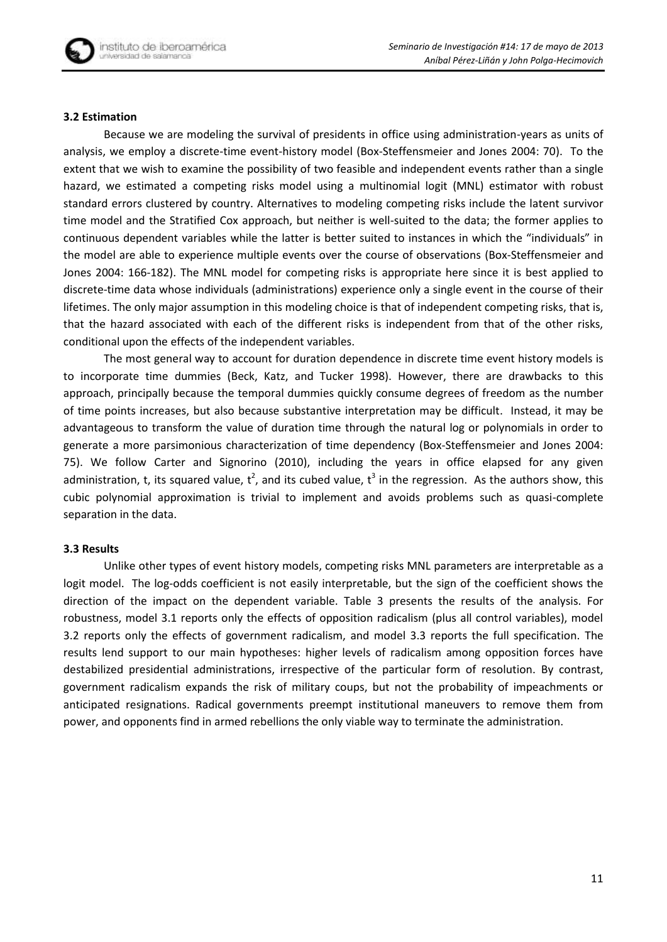### **3.2 Estimation**

Because we are modeling the survival of presidents in office using administration-years as units of analysis, we employ a discrete-time event-history model [\(Box-Steffensmeier and Jones 2004: 70\)](#page-15-13). To the extent that we wish to examine the possibility of two feasible and independent events rather than a single hazard, we estimated a competing risks model using a multinomial logit (MNL) estimator with robust standard errors clustered by country. Alternatives to modeling competing risks include the latent survivor time model and the Stratified Cox approach, but neither is well-suited to the data; the former applies to continuous dependent variables while the latter is better suited to instances in which the "individuals" in the model are able to experience multiple events over the course of observations [\(Box-Steffensmeier and](#page-15-13)  [Jones 2004: 166-182\)](#page-15-13). The MNL model for competing risks is appropriate here since it is best applied to discrete-time data whose individuals (administrations) experience only a single event in the course of their lifetimes. The only major assumption in this modeling choice is that of independent competing risks, that is, that the hazard associated with each of the different risks is independent from that of the other risks, conditional upon the effects of the independent variables.

The most general way to account for duration dependence in discrete time event history models is to incorporate time dummies [\(Beck, Katz, and Tucker 1998\)](#page-15-14). However, there are drawbacks to this approach, principally because the temporal dummies quickly consume degrees of freedom as the number of time points increases, but also because substantive interpretation may be difficult. Instead, it may be advantageous to transform the value of duration time through the natural log or polynomials in order to generate a more parsimonious characterization of time dependency [\(Box-Steffensmeier and Jones 2004:](#page-15-13)  [75\)](#page-15-13). We follow Carter and Signorino [\(2010\)](#page-15-15), including the years in office elapsed for any given administration, t, its squared value,  $t^2$ , and its cubed value,  $t^3$  in the regression. As the authors show, this cubic polynomial approximation is trivial to implement and avoids problems such as quasi-complete separation in the data.

# **3.3 Results**

Unlike other types of event history models, competing risks MNL parameters are interpretable as a logit model. The log-odds coefficient is not easily interpretable, but the sign of the coefficient shows the direction of the impact on the dependent variable. Table 3 presents the results of the analysis. For robustness, model 3.1 reports only the effects of opposition radicalism (plus all control variables), model 3.2 reports only the effects of government radicalism, and model 3.3 reports the full specification. The results lend support to our main hypotheses: higher levels of radicalism among opposition forces have destabilized presidential administrations, irrespective of the particular form of resolution. By contrast, government radicalism expands the risk of military coups, but not the probability of impeachments or anticipated resignations. Radical governments preempt institutional maneuvers to remove them from power, and opponents find in armed rebellions the only viable way to terminate the administration.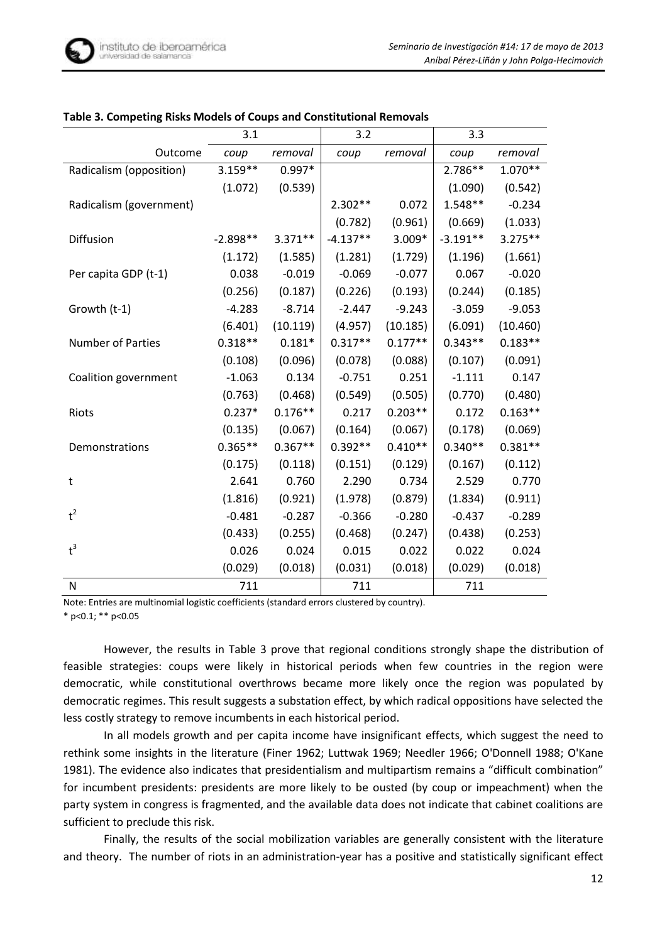|                          | 3.1        |           | 3.2        |           | 3.3        |           |
|--------------------------|------------|-----------|------------|-----------|------------|-----------|
| Outcome                  | coup       | removal   | coup       | removal   | coup       | removal   |
| Radicalism (opposition)  | $3.159**$  | $0.997*$  |            |           | 2.786**    | $1.070**$ |
|                          | (1.072)    | (0.539)   |            |           | (1.090)    | (0.542)   |
| Radicalism (government)  |            |           | $2.302**$  | 0.072     | $1.548**$  | $-0.234$  |
|                          |            |           | (0.782)    | (0.961)   | (0.669)    | (1.033)   |
| <b>Diffusion</b>         | $-2.898**$ | $3.371**$ | $-4.137**$ | 3.009*    | $-3.191**$ | $3.275**$ |
|                          | (1.172)    | (1.585)   | (1.281)    | (1.729)   | (1.196)    | (1.661)   |
| Per capita GDP (t-1)     | 0.038      | $-0.019$  | $-0.069$   | $-0.077$  | 0.067      | $-0.020$  |
|                          | (0.256)    | (0.187)   | (0.226)    | (0.193)   | (0.244)    | (0.185)   |
| Growth (t-1)             | $-4.283$   | $-8.714$  | $-2.447$   | $-9.243$  | $-3.059$   | $-9.053$  |
|                          | (6.401)    | (10.119)  | (4.957)    | (10.185)  | (6.091)    | (10.460)  |
| <b>Number of Parties</b> | $0.318**$  | $0.181*$  | $0.317**$  | $0.177**$ | $0.343**$  | $0.183**$ |
|                          | (0.108)    | (0.096)   | (0.078)    | (0.088)   | (0.107)    | (0.091)   |
| Coalition government     | $-1.063$   | 0.134     | $-0.751$   | 0.251     | $-1.111$   | 0.147     |
|                          | (0.763)    | (0.468)   | (0.549)    | (0.505)   | (0.770)    | (0.480)   |
| Riots                    | $0.237*$   | $0.176**$ | 0.217      | $0.203**$ | 0.172      | $0.163**$ |
|                          | (0.135)    | (0.067)   | (0.164)    | (0.067)   | (0.178)    | (0.069)   |
| Demonstrations           | $0.365**$  | $0.367**$ | $0.392**$  | $0.410**$ | $0.340**$  | $0.381**$ |
|                          | (0.175)    | (0.118)   | (0.151)    | (0.129)   | (0.167)    | (0.112)   |
| t                        | 2.641      | 0.760     | 2.290      | 0.734     | 2.529      | 0.770     |
|                          | (1.816)    | (0.921)   | (1.978)    | (0.879)   | (1.834)    | (0.911)   |
| $t^2$                    | $-0.481$   | $-0.287$  | $-0.366$   | $-0.280$  | $-0.437$   | $-0.289$  |
|                          | (0.433)    | (0.255)   | (0.468)    | (0.247)   | (0.438)    | (0.253)   |
| $t^3$                    | 0.026      | 0.024     | 0.015      | 0.022     | 0.022      | 0.024     |
|                          | (0.029)    | (0.018)   | (0.031)    | (0.018)   | (0.029)    | (0.018)   |
| N                        | 711        |           | 711        |           | 711        |           |

## **Table 3. Competing Risks Models of Coups and Constitutional Removals**

Note: Entries are multinomial logistic coefficients (standard errors clustered by country).

\* p<0.1; \*\* p<0.05

However, the results in Table 3 prove that regional conditions strongly shape the distribution of feasible strategies: coups were likely in historical periods when few countries in the region were democratic, while constitutional overthrows became more likely once the region was populated by democratic regimes. This result suggests a substation effect, by which radical oppositions have selected the less costly strategy to remove incumbents in each historical period.

In all models growth and per capita income have insignificant effects, which suggest the need to rethink some insights in the literature [\(Finer 1962;](#page-15-11) [Luttwak 1969;](#page-16-15) [Needler 1966;](#page-16-2) [O'Donnell 1988;](#page-17-12) [O'Kane](#page-17-2)  [1981\)](#page-17-2). The evidence also indicates that presidentialism and multipartism remains a "difficult combination" for incumbent presidents: presidents are more likely to be ousted (by coup or impeachment) when the party system in congress is fragmented, and the available data does not indicate that cabinet coalitions are sufficient to preclude this risk.

Finally, the results of the social mobilization variables are generally consistent with the literature and theory. The number of riots in an administration-year has a positive and statistically significant effect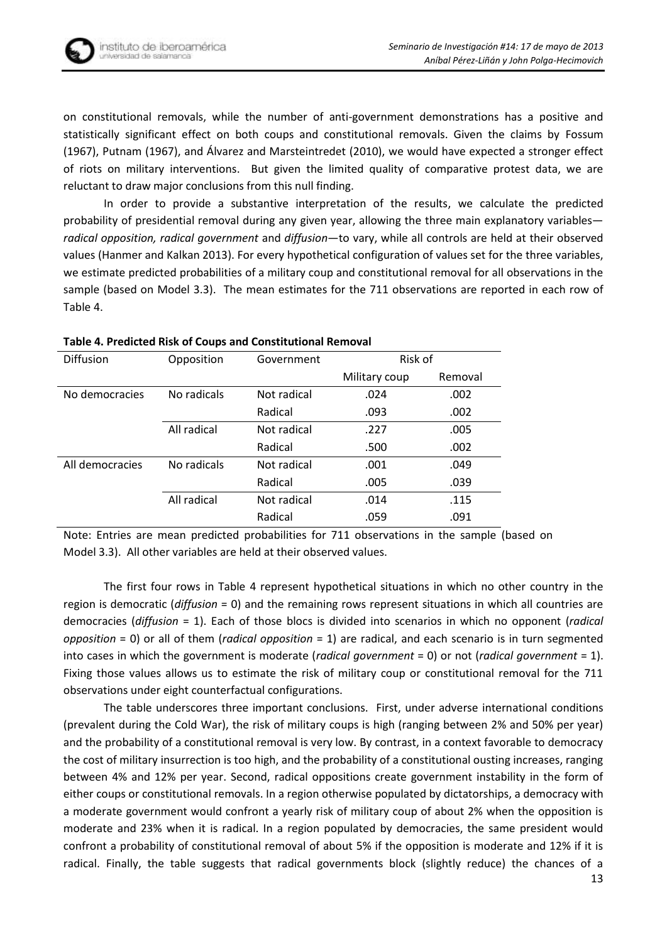on constitutional removals, while the number of anti-government demonstrations has a positive and statistically significant effect on both coups and constitutional removals. Given the claims by Fossum [\(1967\)](#page-15-5), Putnam [\(1967\)](#page-17-7), and Álvarez and Marsteintredet [\(2010\)](#page-15-4), we would have expected a stronger effect of riots on military interventions. But given the limited quality of comparative protest data, we are reluctant to draw major conclusions from this null finding.

In order to provide a substantive interpretation of the results, we calculate the predicted probability of presidential removal during any given year, allowing the three main explanatory variables *radical opposition, radical government* and *diffusion*—to vary, while all controls are held at their observed values [\(Hanmer and Kalkan 2013\)](#page-15-16). For every hypothetical configuration of values set for the three variables, we estimate predicted probabilities of a military coup and constitutional removal for all observations in the sample (based on Model 3.3). The mean estimates for the 711 observations are reported in each row of Table 4.

| <b>Diffusion</b> | Opposition  | Government  | Risk of       |         |
|------------------|-------------|-------------|---------------|---------|
|                  |             |             | Military coup | Removal |
| No democracies   | No radicals | Not radical | .024          | .002    |
|                  |             | Radical     | .093          | .002    |
|                  | All radical | Not radical | .227          | .005    |
|                  |             | Radical     | .500          | .002    |
| All democracies  | No radicals | Not radical | .001          | .049    |
|                  |             | Radical     | .005          | .039    |
|                  | All radical | Not radical | .014          | .115    |
|                  |             | Radical     | .059          | .091    |

### **Table 4. Predicted Risk of Coups and Constitutional Removal**

Note: Entries are mean predicted probabilities for 711 observations in the sample (based on Model 3.3). All other variables are held at their observed values.

The first four rows in Table 4 represent hypothetical situations in which no other country in the region is democratic (*diffusion* = 0) and the remaining rows represent situations in which all countries are democracies (*diffusion* = 1). Each of those blocs is divided into scenarios in which no opponent (*radical opposition* = 0) or all of them (*radical opposition* = 1) are radical, and each scenario is in turn segmented into cases in which the government is moderate (*radical government* = 0) or not (*radical government* = 1). Fixing those values allows us to estimate the risk of military coup or constitutional removal for the 711 observations under eight counterfactual configurations.

The table underscores three important conclusions. First, under adverse international conditions (prevalent during the Cold War), the risk of military coups is high (ranging between 2% and 50% per year) and the probability of a constitutional removal is very low. By contrast, in a context favorable to democracy the cost of military insurrection is too high, and the probability of a constitutional ousting increases, ranging between 4% and 12% per year. Second, radical oppositions create government instability in the form of either coups or constitutional removals. In a region otherwise populated by dictatorships, a democracy with a moderate government would confront a yearly risk of military coup of about 2% when the opposition is moderate and 23% when it is radical. In a region populated by democracies, the same president would confront a probability of constitutional removal of about 5% if the opposition is moderate and 12% if it is radical. Finally, the table suggests that radical governments block (slightly reduce) the chances of a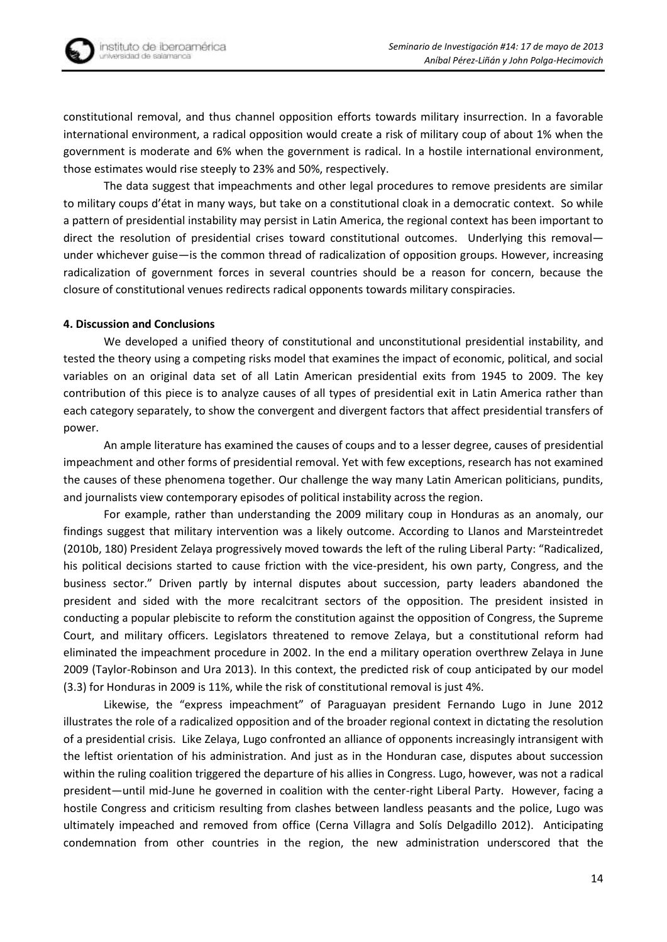

constitutional removal, and thus channel opposition efforts towards military insurrection. In a favorable international environment, a radical opposition would create a risk of military coup of about 1% when the government is moderate and 6% when the government is radical. In a hostile international environment, those estimates would rise steeply to 23% and 50%, respectively.

The data suggest that impeachments and other legal procedures to remove presidents are similar to military coups d'état in many ways, but take on a constitutional cloak in a democratic context. So while a pattern of presidential instability may persist in Latin America, the regional context has been important to direct the resolution of presidential crises toward constitutional outcomes. Underlying this removal under whichever guise—is the common thread of radicalization of opposition groups. However, increasing radicalization of government forces in several countries should be a reason for concern, because the closure of constitutional venues redirects radical opponents towards military conspiracies.

## **4. Discussion and Conclusions**

We developed a unified theory of constitutional and unconstitutional presidential instability, and tested the theory using a competing risks model that examines the impact of economic, political, and social variables on an original data set of all Latin American presidential exits from 1945 to 2009. The key contribution of this piece is to analyze causes of all types of presidential exit in Latin America rather than each category separately, to show the convergent and divergent factors that affect presidential transfers of power.

An ample literature has examined the causes of coups and to a lesser degree, causes of presidential impeachment and other forms of presidential removal. Yet with few exceptions, research has not examined the causes of these phenomena together. Our challenge the way many Latin American politicians, pundits, and journalists view contemporary episodes of political instability across the region.

For example, rather than understanding the 2009 military coup in Honduras as an anomaly, our findings suggest that military intervention was a likely outcome. According to [Llanos and Marsteintredet](#page-16-21)  [\(2010b, 180\)](#page-16-21) President Zelaya progressively moved towards the left of the ruling Liberal Party: "Radicalized, his political decisions started to cause friction with the vice-president, his own party, Congress, and the business sector." Driven partly by internal disputes about succession, party leaders abandoned the president and sided with the more recalcitrant sectors of the opposition. The president insisted in conducting a popular plebiscite to reform the constitution against the opposition of Congress, the Supreme Court, and military officers. Legislators threatened to remove Zelaya, but a constitutional reform had eliminated the impeachment procedure in 2002. In the end a military operation overthrew Zelaya in June 2009 [\(Taylor-Robinson and Ura 2013\)](#page-17-1). In this context, the predicted risk of coup anticipated by our model (3.3) for Honduras in 2009 is 11%, while the risk of constitutional removal is just 4%.

Likewise, the "express impeachment" of Paraguayan president Fernando Lugo in June 2012 illustrates the role of a radicalized opposition and of the broader regional context in dictating the resolution of a presidential crisis. Like Zelaya, Lugo confronted an alliance of opponents increasingly intransigent with the leftist orientation of his administration. And just as in the Honduran case, disputes about succession within the ruling coalition triggered the departure of his allies in Congress. Lugo, however, was not a radical president—until mid-June he governed in coalition with the center-right Liberal Party. However, facing a hostile Congress and criticism resulting from clashes between landless peasants and the police, Lugo was ultimately impeached and removed from office ([Cerna Villagra and Solís Delgadillo 2012](#page-15-17)). Anticipating condemnation from other countries in the region, the new administration underscored that the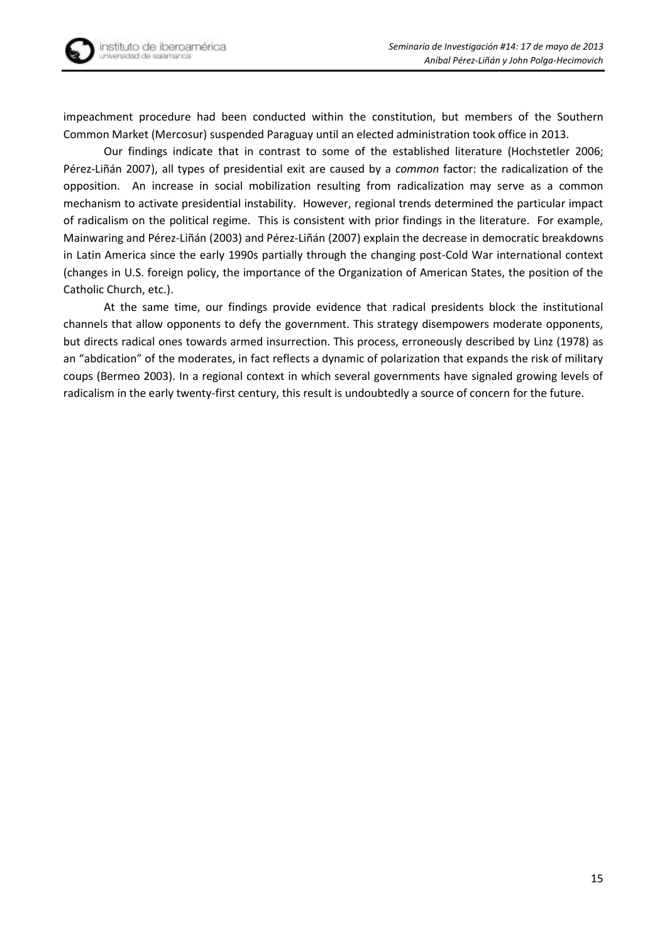impeachment procedure had been conducted within the constitution, but members of the Southern Common Market (Mercosur) suspended Paraguay until an elected administration took office in 2013.

Our findings indicate that in contrast to some of the established literature [\(Hochstetler](#page-16-14) 2006; Pérez-[Liñán 2007](#page-17-0)), all types of presidential exit are caused by a *common* factor: the radicalization of the opposition. An increase in social mobilization resulting from radicalization may serve as a common mechanism to activate presidential instability. However, regional trends determined the particular impact of radicalism on the political regime. This is consistent with prior findings in the literature. For example, Mainwaring and Pérez-Liñán [\(2003\)](#page-16-10) and Pérez-Liñán [\(2007\)](#page-17-0) explain the decrease in democratic breakdowns in Latin America since the early 1990s partially through the changing post-Cold War international context (changes in U.S. foreign policy, the importance of the Organization of American States, the position of the Catholic Church, etc.).

At the same time, our findings provide evidence that radical presidents block the institutional channels that allow opponents to defy the government. This strategy disempowers moderate opponents, but directs radical ones towards armed insurrection. This process, erroneously described by Linz (1978) as an "abdication" of the moderates, in fact reflects a dynamic of polarization that expands the risk of military coups (Bermeo 2003). In a regional context in which several governments have signaled growing levels of radicalism in the early twenty-first century, this result is undoubtedly a source of concern for the future.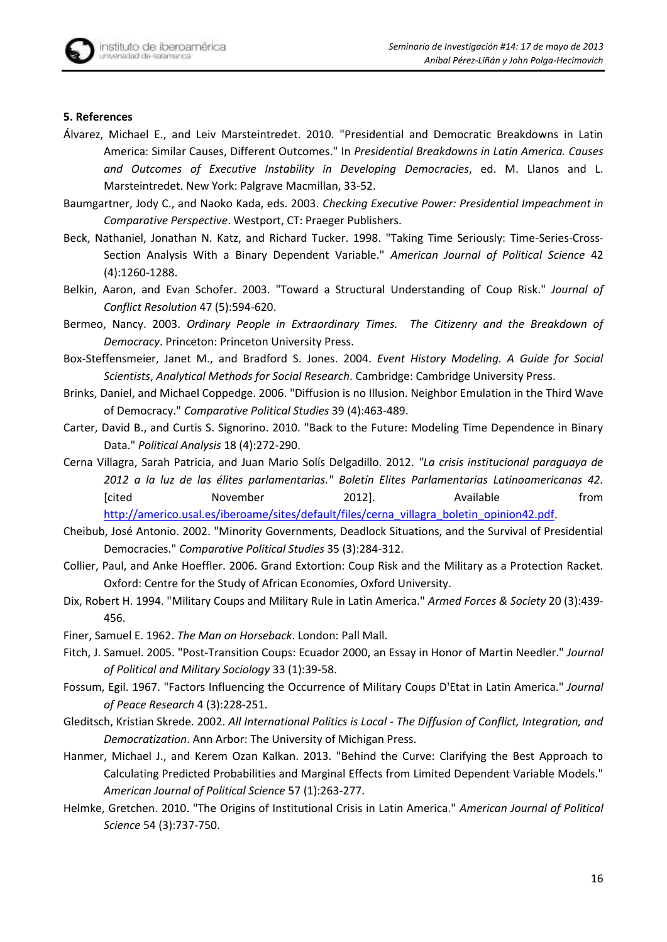### **5. References**

- <span id="page-15-4"></span>Álvarez, Michael E., and Leiv Marsteintredet. 2010. "Presidential and Democratic Breakdowns in Latin America: Similar Causes, Different Outcomes." In *Presidential Breakdowns in Latin America. Causes and Outcomes of Executive Instability in Developing Democracies*, ed. M. Llanos and L. Marsteintredet. New York: Palgrave Macmillan, 33-52.
- <span id="page-15-3"></span>Baumgartner, Jody C., and Naoko Kada, eds. 2003. *Checking Executive Power: Presidential Impeachment in Comparative Perspective*. Westport, CT: Praeger Publishers.
- <span id="page-15-14"></span>Beck, Nathaniel, Jonathan N. Katz, and Richard Tucker. 1998. "Taking Time Seriously: Time-Series-Cross-Section Analysis With a Binary Dependent Variable." *American Journal of Political Science* 42 (4):1260-1288.
- <span id="page-15-0"></span>Belkin, Aaron, and Evan Schofer. 2003. "Toward a Structural Understanding of Coup Risk." *Journal of Conflict Resolution* 47 (5):594-620.
- <span id="page-15-7"></span>Bermeo, Nancy. 2003. *Ordinary People in Extraordinary Times. The Citizenry and the Breakdown of Democracy*. Princeton: Princeton University Press.
- <span id="page-15-13"></span>Box-Steffensmeier, Janet M., and Bradford S. Jones. 2004. *Event History Modeling. A Guide for Social Scientists*, *Analytical Methods for Social Research*. Cambridge: Cambridge University Press.
- <span id="page-15-8"></span>Brinks, Daniel, and Michael Coppedge. 2006. "Diffusion is no Illusion. Neighbor Emulation in the Third Wave of Democracy." *Comparative Political Studies* 39 (4):463-489.
- <span id="page-15-15"></span>Carter, David B., and Curtis S. Signorino. 2010. "Back to the Future: Modeling Time Dependence in Binary Data." *Political Analysis* 18 (4):272-290.
- <span id="page-15-17"></span>Cerna Villagra, Sarah Patricia, and Juan Mario Solís Delgadillo. 2012. *"La crisis institucional paraguaya de 2012 a la luz de las élites parlamentarias." Boletín Elites Parlamentarias Latinoamericanas 42.* [cited November 2012]. Available from [http://americo.usal.es/iberoame/sites/default/files/cerna\\_villagra\\_boletin\\_opinion42.pdf.](http://americo.usal.es/iberoame/sites/default/files/cerna_villagra_boletin_opinion42.pdf)
- <span id="page-15-12"></span>Cheibub, José Antonio. 2002. "Minority Governments, Deadlock Situations, and the Survival of Presidential Democracies." *Comparative Political Studies* 35 (3):284-312.
- <span id="page-15-1"></span>Collier, Paul, and Anke Hoeffler. 2006. Grand Extortion: Coup Risk and the Military as a Protection Racket. Oxford: Centre for the Study of African Economies, Oxford University.
- <span id="page-15-6"></span>Dix, Robert H. 1994. "Military Coups and Military Rule in Latin America." *Armed Forces & Society* 20 (3):439- 456.
- <span id="page-15-11"></span>Finer, Samuel E. 1962. *The Man on Horseback*. London: Pall Mall.
- <span id="page-15-2"></span>Fitch, J. Samuel. 2005. "Post-Transition Coups: Ecuador 2000, an Essay in Honor of Martin Needler." *Journal of Political and Military Sociology* 33 (1):39-58.
- <span id="page-15-5"></span>Fossum, Egil. 1967. "Factors Influencing the Occurrence of Military Coups D'Etat in Latin America." *Journal of Peace Research* 4 (3):228-251.
- <span id="page-15-10"></span>Gleditsch, Kristian Skrede. 2002. *All International Politics is Local - The Diffusion of Conflict, Integration, and Democratization*. Ann Arbor: The University of Michigan Press.
- <span id="page-15-16"></span>Hanmer, Michael J., and Kerem Ozan Kalkan. 2013. "Behind the Curve: Clarifying the Best Approach to Calculating Predicted Probabilities and Marginal Effects from Limited Dependent Variable Models." *American Journal of Political Science* 57 (1):263-277.
- <span id="page-15-9"></span>Helmke, Gretchen. 2010. "The Origins of Institutional Crisis in Latin America." *American Journal of Political Science* 54 (3):737-750.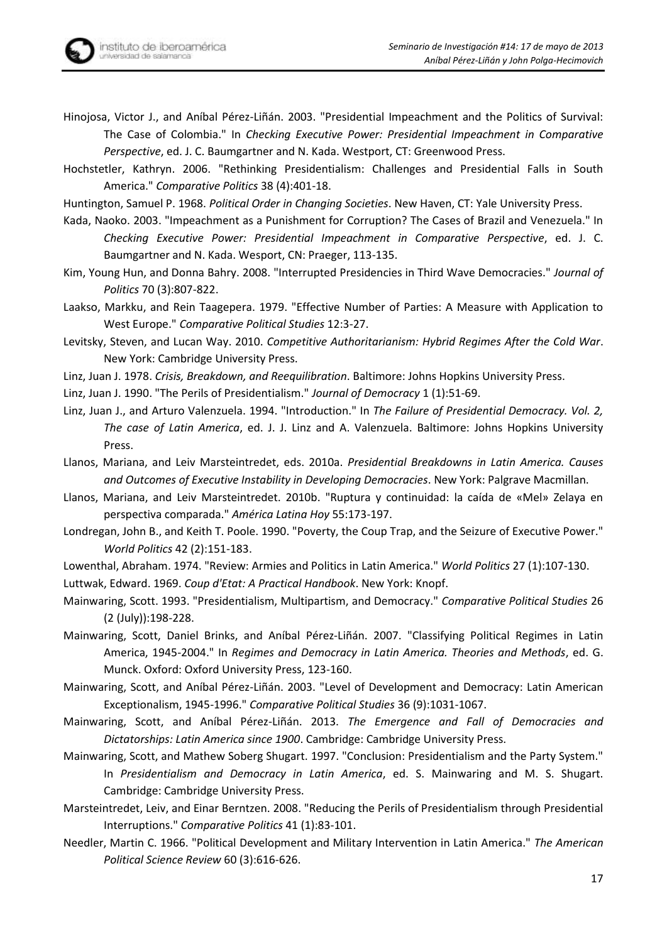<span id="page-16-17"></span>

<span id="page-16-14"></span>Hochstetler, Kathryn. 2006. "Rethinking Presidentialism: Challenges and Presidential Falls in South America." *Comparative Politics* 38 (4):401-18.

<span id="page-16-18"></span>Huntington, Samuel P. 1968. *Political Order in Changing Societies*. New Haven, CT: Yale University Press.

- <span id="page-16-4"></span>Kada, Naoko. 2003. "Impeachment as a Punishment for Corruption? The Cases of Brazil and Venezuela." In *Checking Executive Power: Presidential Impeachment in Comparative Perspective*, ed. J. C. Baumgartner and N. Kada. Wesport, CN: Praeger, 113-135.
- <span id="page-16-0"></span>Kim, Young Hun, and Donna Bahry. 2008. "Interrupted Presidencies in Third Wave Democracies." *Journal of Politics* 70 (3):807-822.
- <span id="page-16-20"></span>Laakso, Markku, and Rein Taagepera. 1979. "Effective Number of Parties: A Measure with Application to West Europe." *Comparative Political Studies* 12:3-27.

<span id="page-16-8"></span>Levitsky, Steven, and Lucan Way. 2010. *Competitive Authoritarianism: Hybrid Regimes After the Cold War*. New York: Cambridge University Press.

- <span id="page-16-7"></span>Linz, Juan J. 1978. *Crisis, Breakdown, and Reequilibration*. Baltimore: Johns Hopkins University Press.
- <span id="page-16-11"></span>Linz, Juan J. 1990. "The Perils of Presidentialism." *Journal of Democracy* 1 (1):51-69.

<span id="page-16-12"></span>Linz, Juan J., and Arturo Valenzuela. 1994. "Introduction." In *The Failure of Presidential Democracy. Vol. 2, The case of Latin America*, ed. J. J. Linz and A. Valenzuela. Baltimore: Johns Hopkins University Press.

- <span id="page-16-1"></span>Llanos, Mariana, and Leiv Marsteintredet, eds. 2010a. *Presidential Breakdowns in Latin America. Causes and Outcomes of Executive Instability in Developing Democracies*. New York: Palgrave Macmillan.
- <span id="page-16-21"></span>Llanos, Mariana, and Leiv Marsteintredet. 2010b. "Ruptura y continuidad: la caída de «Mel» Zelaya en perspectiva comparada." *América Latina Hoy* 55:173-197.
- <span id="page-16-9"></span>Londregan, John B., and Keith T. Poole. 1990. "Poverty, the Coup Trap, and the Seizure of Executive Power." *World Politics* 42 (2):151-183.
- <span id="page-16-15"></span><span id="page-16-3"></span>Lowenthal, Abraham. 1974. "Review: Armies and Politics in Latin America." *World Politics* 27 (1):107-130. Luttwak, Edward. 1969. *Coup d'Etat: A Practical Handbook*. New York: Knopf.
- <span id="page-16-13"></span>Mainwaring, Scott. 1993. "Presidentialism, Multipartism, and Democracy." *Comparative Political Studies* 26 (2 (July)):198-228.
- <span id="page-16-19"></span>Mainwaring, Scott, Daniel Brinks, and Aníbal Pérez-Liñán. 2007. "Classifying Political Regimes in Latin America, 1945-2004." In *Regimes and Democracy in Latin America. Theories and Methods*, ed. G. Munck. Oxford: Oxford University Press, 123-160.
- <span id="page-16-10"></span>Mainwaring, Scott, and Aníbal Pérez-Liñán. 2003. "Level of Development and Democracy: Latin American Exceptionalism, 1945-1996." *Comparative Political Studies* 36 (9):1031-1067.
- <span id="page-16-6"></span>Mainwaring, Scott, and Aníbal Pérez-Liñán. 2013. *The Emergence and Fall of Democracies and Dictatorships: Latin America since 1900*. Cambridge: Cambridge University Press.
- <span id="page-16-16"></span>Mainwaring, Scott, and Mathew Soberg Shugart. 1997. "Conclusion: Presidentialism and the Party System." In *Presidentialism and Democracy in Latin America*, ed. S. Mainwaring and M. S. Shugart. Cambridge: Cambridge University Press.
- <span id="page-16-5"></span>Marsteintredet, Leiv, and Einar Berntzen. 2008. "Reducing the Perils of Presidentialism through Presidential Interruptions." *Comparative Politics* 41 (1):83-101.
- <span id="page-16-2"></span>Needler, Martin C. 1966. "Political Development and Military Intervention in Latin America." *The American Political Science Review* 60 (3):616-626.